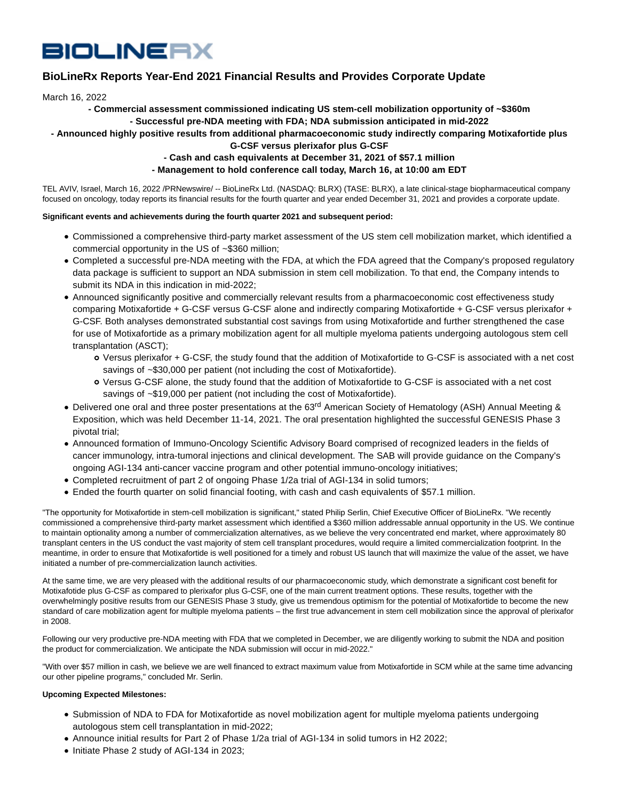# **BIOLINERX**

# **BioLineRx Reports Year-End 2021 Financial Results and Provides Corporate Update**

March 16, 2022

# **- Commercial assessment commissioned indicating US stem-cell mobilization opportunity of ~\$360m**

# **- Successful pre-NDA meeting with FDA; NDA submission anticipated in mid-2022**

# **- Announced highly positive results from additional pharmacoeconomic study indirectly comparing Motixafortide plus**

**G-CSF versus plerixafor plus G-CSF**

# **- Cash and cash equivalents at December 31, 2021 of \$57.1 million**

# **- Management to hold conference call today, March 16, at 10:00 am EDT**

TEL AVIV, Israel, March 16, 2022 /PRNewswire/ -- BioLineRx Ltd. (NASDAQ: BLRX) (TASE: BLRX), a late clinical-stage biopharmaceutical company focused on oncology, today reports its financial results for the fourth quarter and year ended December 31, 2021 and provides a corporate update.

# **Significant events and achievements during the fourth quarter 2021 and subsequent period:**

- Commissioned a comprehensive third-party market assessment of the US stem cell mobilization market, which identified a commercial opportunity in the US of ~\$360 million;
- Completed a successful pre-NDA meeting with the FDA, at which the FDA agreed that the Company's proposed regulatory data package is sufficient to support an NDA submission in stem cell mobilization. To that end, the Company intends to submit its NDA in this indication in mid-2022;
- Announced significantly positive and commercially relevant results from a pharmacoeconomic cost effectiveness study comparing Motixafortide + G-CSF versus G-CSF alone and indirectly comparing Motixafortide + G-CSF versus plerixafor + G-CSF. Both analyses demonstrated substantial cost savings from using Motixafortide and further strengthened the case for use of Motixafortide as a primary mobilization agent for all multiple myeloma patients undergoing autologous stem cell transplantation (ASCT);
	- Versus plerixafor + G-CSF, the study found that the addition of Motixafortide to G-CSF is associated with a net cost savings of ~\$30,000 per patient (not including the cost of Motixafortide).
	- Versus G-CSF alone, the study found that the addition of Motixafortide to G-CSF is associated with a net cost savings of ~\$19,000 per patient (not including the cost of Motixafortide).
- Delivered one oral and three poster presentations at the 63<sup>rd</sup> American Society of Hematology (ASH) Annual Meeting & Exposition, which was held December 11-14, 2021. The oral presentation highlighted the successful GENESIS Phase 3 pivotal trial;
- Announced formation of Immuno-Oncology Scientific Advisory Board comprised of recognized leaders in the fields of cancer immunology, intra-tumoral injections and clinical development. The SAB will provide guidance on the Company's ongoing AGI-134 anti-cancer vaccine program and other potential immuno-oncology initiatives;
- Completed recruitment of part 2 of ongoing Phase 1/2a trial of AGI-134 in solid tumors;
- Ended the fourth quarter on solid financial footing, with cash and cash equivalents of \$57.1 million.

"The opportunity for Motixafortide in stem-cell mobilization is significant," stated Philip Serlin, Chief Executive Officer of BioLineRx. "We recently commissioned a comprehensive third-party market assessment which identified a \$360 million addressable annual opportunity in the US. We continue to maintain optionality among a number of commercialization alternatives, as we believe the very concentrated end market, where approximately 80 transplant centers in the US conduct the vast majority of stem cell transplant procedures, would require a limited commercialization footprint. In the meantime, in order to ensure that Motixafortide is well positioned for a timely and robust US launch that will maximize the value of the asset, we have initiated a number of pre-commercialization launch activities.

At the same time, we are very pleased with the additional results of our pharmacoeconomic study, which demonstrate a significant cost benefit for Motixafotide plus G-CSF as compared to plerixafor plus G-CSF, one of the main current treatment options. These results, together with the overwhelmingly positive results from our GENESIS Phase 3 study, give us tremendous optimism for the potential of Motixafortide to become the new standard of care mobilization agent for multiple myeloma patients – the first true advancement in stem cell mobilization since the approval of plerixafor in 2008.

Following our very productive pre-NDA meeting with FDA that we completed in December, we are diligently working to submit the NDA and position the product for commercialization. We anticipate the NDA submission will occur in mid-2022."

"With over \$57 million in cash, we believe we are well financed to extract maximum value from Motixafortide in SCM while at the same time advancing our other pipeline programs," concluded Mr. Serlin.

#### **Upcoming Expected Milestones:**

- Submission of NDA to FDA for Motixafortide as novel mobilization agent for multiple myeloma patients undergoing autologous stem cell transplantation in mid-2022;
- Announce initial results for Part 2 of Phase 1/2a trial of AGI-134 in solid tumors in H2 2022;
- Initiate Phase 2 study of AGI-134 in 2023;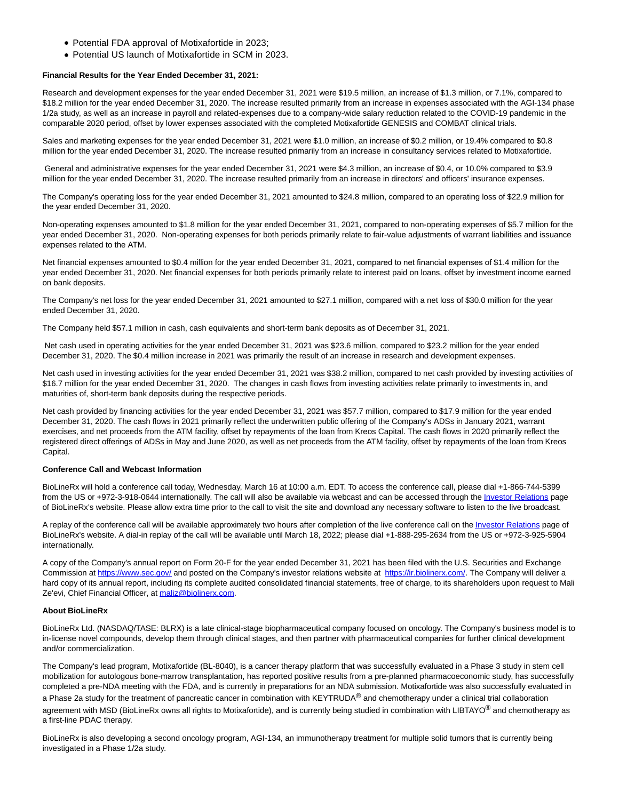- Potential FDA approval of Motixafortide in 2023;
- Potential US launch of Motixafortide in SCM in 2023.

#### **Financial Results for the Year Ended December 31, 2021:**

Research and development expenses for the year ended December 31, 2021 were \$19.5 million, an increase of \$1.3 million, or 7.1%, compared to \$18.2 million for the year ended December 31, 2020. The increase resulted primarily from an increase in expenses associated with the AGI-134 phase 1/2a study, as well as an increase in payroll and related-expenses due to a company-wide salary reduction related to the COVID-19 pandemic in the comparable 2020 period, offset by lower expenses associated with the completed Motixafortide GENESIS and COMBAT clinical trials.

Sales and marketing expenses for the year ended December 31, 2021 were \$1.0 million, an increase of \$0.2 million, or 19.4% compared to \$0.8 million for the year ended December 31, 2020. The increase resulted primarily from an increase in consultancy services related to Motixafortide.

 General and administrative expenses for the year ended December 31, 2021 were \$4.3 million, an increase of \$0.4, or 10.0% compared to \$3.9 million for the year ended December 31, 2020. The increase resulted primarily from an increase in directors' and officers' insurance expenses.

The Company's operating loss for the year ended December 31, 2021 amounted to \$24.8 million, compared to an operating loss of \$22.9 million for the year ended December 31, 2020.

Non-operating expenses amounted to \$1.8 million for the year ended December 31, 2021, compared to non-operating expenses of \$5.7 million for the year ended December 31, 2020. Non-operating expenses for both periods primarily relate to fair-value adjustments of warrant liabilities and issuance expenses related to the ATM.

Net financial expenses amounted to \$0.4 million for the year ended December 31, 2021, compared to net financial expenses of \$1.4 million for the year ended December 31, 2020. Net financial expenses for both periods primarily relate to interest paid on loans, offset by investment income earned on bank deposits.

The Company's net loss for the year ended December 31, 2021 amounted to \$27.1 million, compared with a net loss of \$30.0 million for the year ended December 31, 2020.

The Company held \$57.1 million in cash, cash equivalents and short-term bank deposits as of December 31, 2021.

 Net cash used in operating activities for the year ended December 31, 2021 was \$23.6 million, compared to \$23.2 million for the year ended December 31, 2020. The \$0.4 million increase in 2021 was primarily the result of an increase in research and development expenses.

Net cash used in investing activities for the year ended December 31, 2021 was \$38.2 million, compared to net cash provided by investing activities of \$16.7 million for the year ended December 31, 2020. The changes in cash flows from investing activities relate primarily to investments in, and maturities of, short-term bank deposits during the respective periods.

Net cash provided by financing activities for the year ended December 31, 2021 was \$57.7 million, compared to \$17.9 million for the year ended December 31, 2020. The cash flows in 2021 primarily reflect the underwritten public offering of the Company's ADSs in January 2021, warrant exercises, and net proceeds from the ATM facility, offset by repayments of the loan from Kreos Capital. The cash flows in 2020 primarily reflect the registered direct offerings of ADSs in May and June 2020, as well as net proceeds from the ATM facility, offset by repayments of the loan from Kreos Capital.

#### **Conference Call and Webcast Information**

BioLineRx will hold a conference call today, Wednesday, March 16 at 10:00 a.m. EDT. To access the conference call, please dial +1-866-744-5399 from the US or +972-3-918-0644 internationally. The call will also be available via webcast and can be accessed through the [Investor Relations p](https://ir.biolinerx.com/events/event-details/biolinerx-annual-2021-earnings-conference-call)age of BioLineRx's website. Please allow extra time prior to the call to visit the site and download any necessary software to listen to the live broadcast.

A replay of the conference call will be available approximately two hours after completion of the live conference call on the *Investor Relations* page of BioLineRx's website. A dial-in replay of the call will be available until March 18, 2022; please dial +1-888-295-2634 from the US or +972-3-925-5904 internationally.

A copy of the Company's annual report on Form 20-F for the year ended December 31, 2021 has been filed with the U.S. Securities and Exchange Commission at [https://www.sec.gov/ a](https://www.sec.gov/)nd posted on the Company's investor relations website at [https://ir.biolinerx.com/.](https://ir.biolinerx.com/) The Company will deliver a hard copy of its annual report, including its complete audited consolidated financial statements, free of charge, to its shareholders upon request to Mali Ze'evi, Chief Financial Officer, at [maliz@biolinerx.com.](mailto:maliz@biolinerx.com)

#### **About BioLineRx**

BioLineRx Ltd. (NASDAQ/TASE: BLRX) is a late clinical-stage biopharmaceutical company focused on oncology. The Company's business model is to in-license novel compounds, develop them through clinical stages, and then partner with pharmaceutical companies for further clinical development and/or commercialization.

The Company's lead program, Motixafortide (BL-8040), is a cancer therapy platform that was successfully evaluated in a Phase 3 study in stem cell mobilization for autologous bone-marrow transplantation, has reported positive results from a pre-planned pharmacoeconomic study, has successfully completed a pre-NDA meeting with the FDA, and is currently in preparations for an NDA submission. Motixafortide was also successfully evaluated in a Phase 2a study for the treatment of pancreatic cancer in combination with KEYTRUDA<sup>®</sup> and chemotherapy under a clinical trial collaboration agreement with MSD (BioLineRx owns all rights to Motixafortide), and is currently being studied in combination with LIBTAYO<sup>®</sup> and chemotherapy as a first-line PDAC therapy.

BioLineRx is also developing a second oncology program, AGI-134, an immunotherapy treatment for multiple solid tumors that is currently being investigated in a Phase 1/2a study.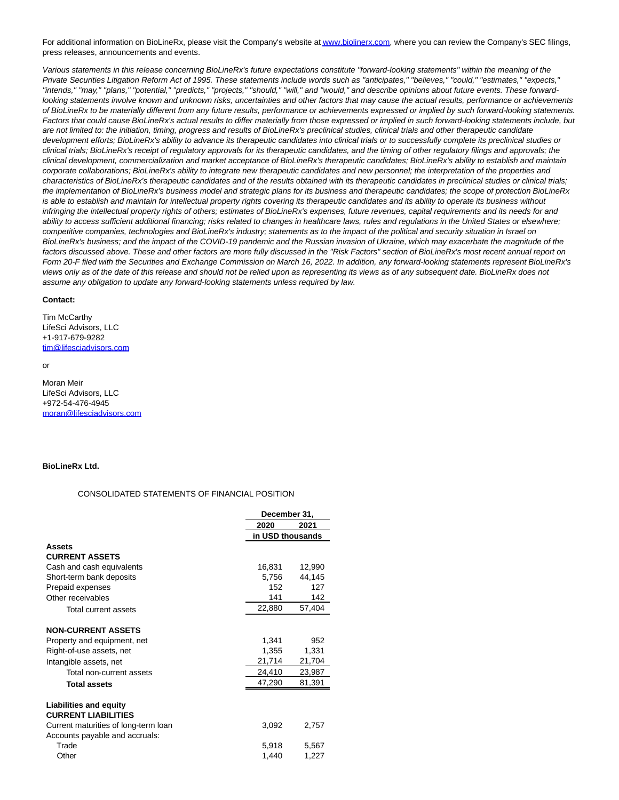For additional information on BioLineRx, please visit the Company's website a[t www.biolinerx.com,](http://www.biolinerx.com/) where you can review the Company's SEC filings, press releases, announcements and events.

Various statements in this release concerning BioLineRx's future expectations constitute "forward-looking statements" within the meaning of the Private Securities Litigation Reform Act of 1995. These statements include words such as "anticipates," "believes," "could," "estimates," "expects," "intends," "may," "plans," "potential," "predicts," "projects," "should," "will," and "would," and describe opinions about future events. These forwardlooking statements involve known and unknown risks, uncertainties and other factors that may cause the actual results, performance or achievements of BioLineRx to be materially different from any future results, performance or achievements expressed or implied by such forward-looking statements. Factors that could cause BioLineRx's actual results to differ materially from those expressed or implied in such forward-looking statements include, but are not limited to: the initiation, timing, progress and results of BioLineRx's preclinical studies, clinical trials and other therapeutic candidate development efforts; BioLineRx's ability to advance its therapeutic candidates into clinical trials or to successfully complete its preclinical studies or clinical trials; BioLineRx's receipt of regulatory approvals for its therapeutic candidates, and the timing of other regulatory filings and approvals; the clinical development, commercialization and market acceptance of BioLineRx's therapeutic candidates; BioLineRx's ability to establish and maintain corporate collaborations; BioLineRx's ability to integrate new therapeutic candidates and new personnel; the interpretation of the properties and characteristics of BioLineRx's therapeutic candidates and of the results obtained with its therapeutic candidates in preclinical studies or clinical trials; the implementation of BioLineRx's business model and strategic plans for its business and therapeutic candidates; the scope of protection BioLineRx is able to establish and maintain for intellectual property rights covering its therapeutic candidates and its ability to operate its business without infringing the intellectual property rights of others; estimates of BioLineRx's expenses, future revenues, capital requirements and its needs for and ability to access sufficient additional financing; risks related to changes in healthcare laws, rules and regulations in the United States or elsewhere; competitive companies, technologies and BioLineRx's industry; statements as to the impact of the political and security situation in Israel on BioLineRx's business; and the impact of the COVID-19 pandemic and the Russian invasion of Ukraine, which may exacerbate the magnitude of the factors discussed above. These and other factors are more fully discussed in the "Risk Factors" section of BioLineRx's most recent annual report on Form 20-F filed with the Securities and Exchange Commission on March 16, 2022. In addition, any forward-looking statements represent BioLineRx's views only as of the date of this release and should not be relied upon as representing its views as of any subsequent date. BioLineRx does not assume any obligation to update any forward-looking statements unless required by law.

#### **Contact:**

Tim McCarthy LifeSci Advisors, LLC +1-917-679-9282 [tim@lifesciadvisors.com](mailto:tim@lifesciadvisors.com)

### or

Moran Meir LifeSci Advisors, LLC +972-54-476-4945 [moran@lifesciadvisors.com](mailto:moran@lifesciadvisors.com)

#### **BioLineRx Ltd.**

#### CONSOLIDATED STATEMENTS OF FINANCIAL POSITION

|                                                             |                  | December 31, |  |  |
|-------------------------------------------------------------|------------------|--------------|--|--|
|                                                             | 2020             | 2021         |  |  |
|                                                             | in USD thousands |              |  |  |
| Assets                                                      |                  |              |  |  |
| <b>CURRENT ASSETS</b>                                       |                  |              |  |  |
| Cash and cash equivalents                                   | 16,831           | 12,990       |  |  |
| Short-term bank deposits                                    | 5,756            | 44,145       |  |  |
| Prepaid expenses                                            | 152              | 127          |  |  |
| Other receivables                                           | 141              | 142          |  |  |
| <b>Total current assets</b>                                 | 22,880           | 57,404       |  |  |
| <b>NON-CURRENT ASSETS</b>                                   |                  |              |  |  |
| Property and equipment, net                                 | 1,341            | 952          |  |  |
| Right-of-use assets, net                                    | 1,355            | 1,331        |  |  |
| Intangible assets, net                                      | 21,714           | 21,704       |  |  |
| Total non-current assets                                    | 24,410           | 23,987       |  |  |
| <b>Total assets</b>                                         | 47,290           | 81,391       |  |  |
| <b>Liabilities and equity</b><br><b>CURRENT LIABILITIES</b> |                  |              |  |  |
| Current maturities of long-term loan                        | 3,092            | 2,757        |  |  |
| Accounts payable and accruals:                              |                  |              |  |  |
| Trade                                                       | 5,918            | 5,567        |  |  |
| Other                                                       | 1,440            | 1,227        |  |  |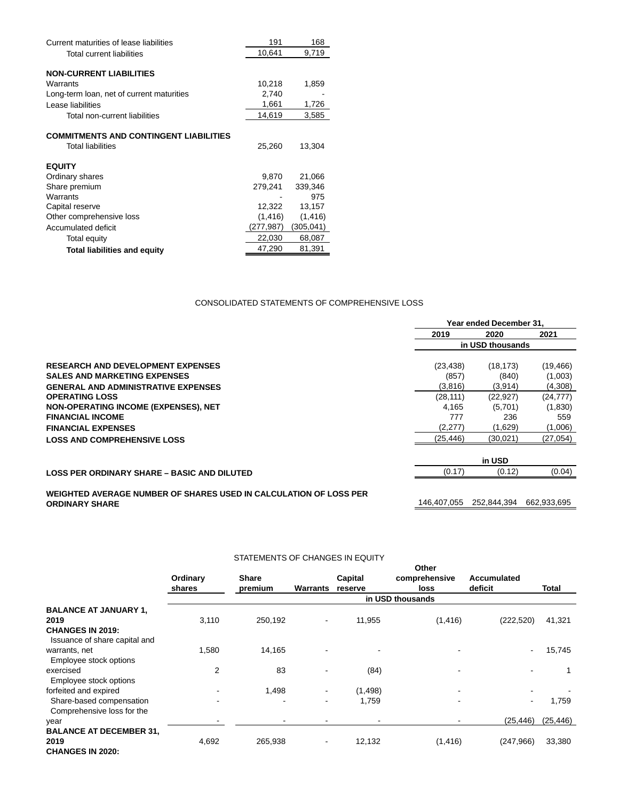| Current maturities of lease liabilities       | 191       | 168       |
|-----------------------------------------------|-----------|-----------|
| Total current liabilities                     | 10,641    | 9,719     |
|                                               |           |           |
| <b>NON-CURRENT LIABILITIES</b>                |           |           |
| Warrants                                      | 10,218    | 1,859     |
| Long-term loan, net of current maturities     | 2,740     |           |
| Lease liabilities                             | 1,661     | 1,726     |
| Total non-current liabilities                 | 14,619    | 3,585     |
|                                               |           |           |
| <b>COMMITMENTS AND CONTINGENT LIABILITIES</b> |           |           |
| <b>Total liabilities</b>                      | 25,260    | 13,304    |
| <b>EQUITY</b>                                 |           |           |
|                                               | 9.870     | 21,066    |
| Ordinary shares                               |           |           |
| Share premium                                 | 279,241   | 339,346   |
| Warrants                                      |           | 975       |
| Capital reserve                               | 12,322    | 13,157    |
| Other comprehensive loss                      | (1, 416)  | (1, 416)  |
| Accumulated deficit                           | (277,987) | (305,041) |
| Total equity                                  | 22,030    | 68,087    |

**Total liabilities and equity** 47,290 81,391

# CONSOLIDATED STATEMENTS OF COMPREHENSIVE LOSS

|                                                                   | Year ended December 31. |             |             |
|-------------------------------------------------------------------|-------------------------|-------------|-------------|
|                                                                   | 2019                    | 2020        | 2021        |
|                                                                   | in USD thousands        |             |             |
| <b>RESEARCH AND DEVELOPMENT EXPENSES</b>                          | (23, 438)               | (18, 173)   | (19, 466)   |
| <b>SALES AND MARKETING EXPENSES</b>                               | (857)                   | (840)       | (1,003)     |
| <b>GENERAL AND ADMINISTRATIVE EXPENSES</b>                        | (3,816)                 | (3,914)     | (4,308)     |
| <b>OPERATING LOSS</b>                                             | (28, 111)               | (22, 927)   | (24, 777)   |
| NON-OPERATING INCOME (EXPENSES), NET                              | 4.165                   | (5,701)     | (1,830)     |
| <b>FINANCIAL INCOME</b>                                           | 777                     | 236         | 559         |
| <b>FINANCIAL EXPENSES</b>                                         | (2,277)                 | (1,629)     | (1,006)     |
| <b>LOSS AND COMPREHENSIVE LOSS</b>                                | (25, 446)               | (30,021)    | (27, 054)   |
|                                                                   |                         | in USD      |             |
| <b>LOSS PER ORDINARY SHARE - BASIC AND DILUTED</b>                | (0.17)                  | (0.12)      | (0.04)      |
| WEIGHTED AVERAGE NUMBER OF SHARES USED IN CALCULATION OF LOSS PER |                         |             |             |
| <b>ORDINARY SHARE</b>                                             | 146.407.055             | 252.844.394 | 662.933.695 |

# STATEMENTS OF CHANGES IN EQUITY

|                                                                   | Ordinary<br>shares | <b>Share</b><br>premium | <b>Warrants</b>          | Capital<br>reserve | Other<br>comprehensive<br>loss | <b>Accumulated</b><br>deficit | Total     |
|-------------------------------------------------------------------|--------------------|-------------------------|--------------------------|--------------------|--------------------------------|-------------------------------|-----------|
|                                                                   |                    |                         |                          |                    | in USD thousands               |                               |           |
| <b>BALANCE AT JANUARY 1,</b><br>2019                              | 3,110              | 250,192                 | $\overline{\phantom{a}}$ | 11,955             | (1, 416)                       | (222, 520)                    | 41,321    |
| <b>CHANGES IN 2019:</b><br>Issuance of share capital and          |                    |                         |                          |                    |                                |                               |           |
| warrants, net<br>Employee stock options                           | 1,580              | 14,165                  |                          |                    |                                | $\blacksquare$                | 15,745    |
| exercised<br>Employee stock options                               | $\overline{2}$     | 83                      |                          | (84)               |                                | $\blacksquare$                |           |
| forfeited and expired                                             | $\blacksquare$     | 1,498                   |                          | (1, 498)           |                                |                               |           |
| Share-based compensation<br>Comprehensive loss for the            | ۰.                 |                         | $\overline{\phantom{0}}$ | 1,759              |                                | $\blacksquare$                | 1,759     |
| year                                                              |                    |                         |                          |                    |                                | (25, 446)                     | (25, 446) |
| <b>BALANCE AT DECEMBER 31,</b><br>2019<br><b>CHANGES IN 2020:</b> | 4,692              | 265,938                 | $\overline{\phantom{a}}$ | 12,132             | (1, 416)                       | (247, 966)                    | 33,380    |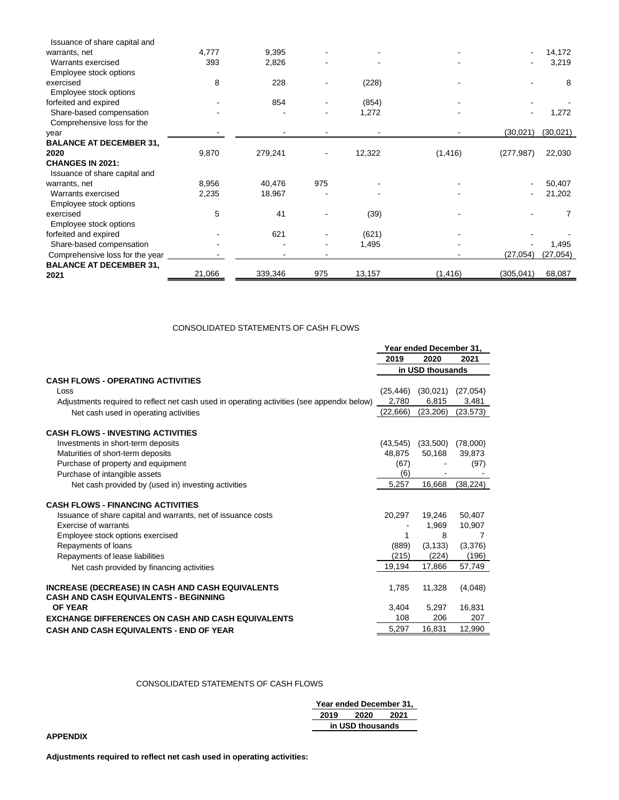| Issuance of share capital and                            |        |         |                          |        |          |                |           |
|----------------------------------------------------------|--------|---------|--------------------------|--------|----------|----------------|-----------|
| warrants, net                                            | 4,777  | 9,395   |                          |        |          | $\blacksquare$ | 14,172    |
| Warrants exercised                                       | 393    | 2,826   |                          |        |          | -              | 3,219     |
| Employee stock options                                   |        |         |                          |        |          |                |           |
| exercised                                                | 8      | 228     |                          | (228)  |          |                | 8         |
| Employee stock options                                   |        |         |                          |        |          |                |           |
| forfeited and expired                                    |        | 854     |                          | (854)  |          |                |           |
| Share-based compensation                                 |        |         |                          | 1,272  |          |                | 1,272     |
| Comprehensive loss for the                               |        |         |                          |        |          |                |           |
| year                                                     |        |         |                          |        |          | (30, 021)      | (30,021)  |
| <b>BALANCE AT DECEMBER 31,</b>                           |        |         |                          |        |          |                |           |
| 2020                                                     | 9,870  | 279,241 | $\overline{\phantom{a}}$ | 12,322 | (1, 416) | (277, 987)     | 22,030    |
| <b>CHANGES IN 2021:</b><br>Issuance of share capital and |        |         |                          |        |          |                |           |
| warrants, net                                            | 8,956  | 40,476  | 975                      |        |          | $\blacksquare$ | 50,407    |
| Warrants exercised                                       | 2,235  | 18,967  |                          |        |          |                | 21,202    |
| Employee stock options                                   |        |         |                          |        |          |                |           |
| exercised                                                | 5      | 41      |                          | (39)   |          |                | 7         |
| Employee stock options                                   |        |         |                          |        |          |                |           |
| forfeited and expired                                    |        | 621     |                          | (621)  |          |                |           |
| Share-based compensation                                 |        |         |                          | 1,495  |          |                | 1,495     |
| Comprehensive loss for the year                          |        |         |                          |        |          | (27, 054)      | (27, 054) |
| <b>BALANCE AT DECEMBER 31,</b>                           |        |         |                          |        |          |                |           |
| 2021                                                     | 21,066 | 339,346 | 975                      | 13,157 | (1, 416) | (305, 041)     | 68,087    |

# CONSOLIDATED STATEMENTS OF CASH FLOWS

|                                                                                                         | Year ended December 31, |                  |           |
|---------------------------------------------------------------------------------------------------------|-------------------------|------------------|-----------|
|                                                                                                         | 2019                    | 2020             | 2021      |
|                                                                                                         |                         | in USD thousands |           |
| <b>CASH FLOWS - OPERATING ACTIVITIES</b>                                                                |                         |                  |           |
| Loss                                                                                                    | (25, 446)               | (30,021)         | (27, 054) |
| Adjustments required to reflect net cash used in operating activities (see appendix below)              | 2,780                   | 6,815            | 3,481     |
| Net cash used in operating activities                                                                   | (22,666)                | (23, 206)        | (23, 573) |
| <b>CASH FLOWS - INVESTING ACTIVITIES</b>                                                                |                         |                  |           |
| Investments in short-term deposits                                                                      | (43, 545)               | (33,500)         | (78,000)  |
| Maturities of short-term deposits                                                                       | 48,875                  | 50,168           | 39,873    |
| Purchase of property and equipment                                                                      | (67)                    |                  | (97)      |
| Purchase of intangible assets                                                                           | (6)                     |                  |           |
| Net cash provided by (used in) investing activities                                                     | 5,257                   | 16,668           | (38, 224) |
| <b>CASH FLOWS - FINANCING ACTIVITIES</b>                                                                |                         |                  |           |
| Issuance of share capital and warrants, net of issuance costs                                           | 20,297                  | 19,246           | 50,407    |
| Exercise of warrants                                                                                    |                         | 1,969            | 10,907    |
| Employee stock options exercised                                                                        | 1                       | 8                | 7         |
| Repayments of loans                                                                                     | (889)                   | (3, 133)         | (3,376)   |
| Repayments of lease liabilities                                                                         | (215)                   | (224)            | (196)     |
| Net cash provided by financing activities                                                               | 19,194                  | 17,866           | 57,749    |
| <b>INCREASE (DECREASE) IN CASH AND CASH EQUIVALENTS</b><br><b>CASH AND CASH EQUIVALENTS - BEGINNING</b> | 1,785                   | 11,328           | (4,048)   |
| <b>OF YEAR</b>                                                                                          | 3,404                   | 5,297            | 16,831    |
| <b>EXCHANGE DIFFERENCES ON CASH AND CASH EQUIVALENTS</b>                                                | 108                     | 206              | 207       |
| <b>CASH AND CASH EQUIVALENTS - END OF YEAR</b>                                                          | 5.297                   | 16.831           | 12,990    |

# CONSOLIDATED STATEMENTS OF CASH FLOWS

| Year ended December 31, |                  |      |  |  |  |
|-------------------------|------------------|------|--|--|--|
| 2019                    | 2020             | 2021 |  |  |  |
|                         | in USD thousands |      |  |  |  |

**APPENDIX**

**Adjustments required to reflect net cash used in operating activities:**